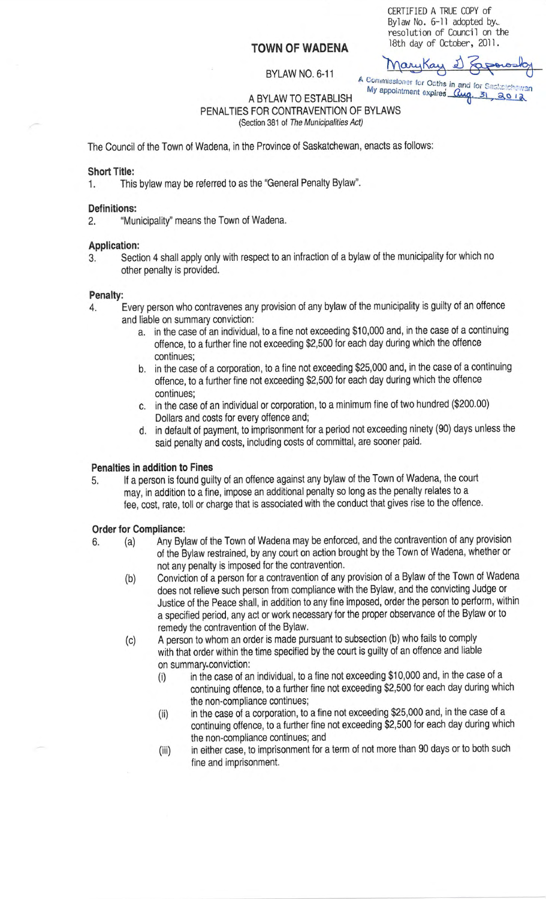# **TOWN OF WADENA**

CERTIFIED A TRUE COPY of By law No. 6-11 adopted by... resolution of Council on the 18th day of October, 2011.

# BYLAW NO. 6-11

MaryKay 2 Sag A Commissioner for Oatherin and a A BYLAW TO ESTABLISH My appointment expires  $\frac{a_{\alpha}}{3!}, \frac{30}{30}$ 

PENALTIES FOR CONTRAVENTION OF BYLAWS (Section 381 of The Municipalities Act)

The Council of the Town of Wadena, in the Province of Saskatchewan, enacts as follows:

# **Short Title:**

1. This bylaw may be referred to as the "General Penalty Bylaw''.

## **Definitions:**

2. "Municipality'' means the Town of Wadena.

# **Application:**

3. Section 4 shall apply only with respect to an infraction of a bylaw of the municipality for which no other penalty is provided.

#### **Penalty:**

- 4. Every person who contravenes any provision of any bylaw of the municipality is guilty of an offence and liable on summary conviction:
	- a. in the case of an individual, to a fine not exceeding \$10,000 and, in the case of a continuing offence, to a further fine not exceeding \$2,500 for each day during which the offence continues;
	- b. in the case of a corporation, to a fine not exceeding \$25,000 and, in the case of a continuing offence, to a further fine not exceeding \$2,500 for each day during which the offence continues;
	- c. in the case of an individual or corporation, to a minimum fine of two hundred (\$200.00) Dollars and costs for every offence and;
	- d. in default of payment, to imprisonment for a period not exceeding ninety (90) days unless the said penalty and costs, including costs of committal, are sooner paid.

#### **Penalties in addition to Fines**

5. If a person is found guilty of an offence against any bylaw of the Town of Wadena, the court may, in addition to a fine, impose an additional penalty so long as the penalty relates to a fee, cost, rate, toll or charge that is associated with the conduct that gives rise to the offence.

#### **Order for Compliance:**

- 6. (a) Any Bylaw of the Town of Wadena may be enforced, and the contravention of any provision of the Bylaw restrained, by any court on action brought by the Town of Wadena, whether or not any penalty is imposed for the contravention.
	- (b) Conviction of a person for a contravention of any provision of a Bylaw of the Town of Wadena does not relieve such person from compliance with the Bylaw, and the convicting Judge or Justice of the Peace shall, in addition to any fine imposed, order the person to perform, within a specified period, any act or work necessary for the proper observance of the Bylaw or to remedy the contravention of the Bylaw.
	- (c) A person to whom an order is made pursuant to subsection (b) who fails to comply with that order within the time specified by the court is guilty of an offence and liable on summary.conviction:
		- (i) in the case of an individual, to a fine not exceeding \$10,000 and, in the case of a continuing offence, to a further fine not exceeding \$2,500 for each day during which the non-compliance continues;
		- (ii) in the case of a corporation, to a fine not exceeding \$25,000 and, in the case of a continuing offence, to a further fine not exceeding \$2,500 for each day during which the non-compliance continues; and
		- (iii) in either case, to imprisonment for a term of not more than 90 days or to both such fine and imprisonment.